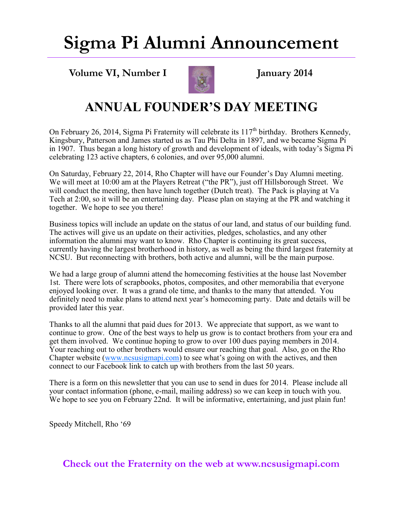### **Sigma Pi Alumni Announcement**

**Volume VI, Number I January 2014**



#### **ANNUAL FOUNDER'S DAY MEETING**

On February 26, 2014, Sigma Pi Fraternity will celebrate its  $117<sup>th</sup>$  birthday. Brothers Kennedy, Kingsbury, Patterson and James started us as Tau Phi Delta in 1897, and we became Sigma Pi in 1907. Thus began a long history of growth and development of ideals, with today's Sigma Pi celebrating 123 active chapters, 6 colonies, and over 95,000 alumni.

On Saturday, February 22, 2014, Rho Chapter will have our Founder's Day Alumni meeting. We will meet at 10:00 am at the Players Retreat ("the PR"), just off Hillsborough Street. We will conduct the meeting, then have lunch together (Dutch treat). The Pack is playing at Va Tech at 2:00, so it will be an entertaining day. Please plan on staying at the PR and watching it together. We hope to see you there!

Business topics will include an update on the status of our land, and status of our building fund. The actives will give us an update on their activities, pledges, scholastics, and any other information the alumni may want to know. Rho Chapter is continuing its great success, currently having the largest brotherhood in history, as well as being the third largest fraternity at NCSU. But reconnecting with brothers, both active and alumni, will be the main purpose.

We had a large group of alumni attend the homecoming festivities at the house last November 1st. There were lots of scrapbooks, photos, composites, and other memorabilia that everyone enjoyed looking over. It was a grand ole time, and thanks to the many that attended. You definitely need to make plans to attend next year's homecoming party. Date and details will be provided later this year.

Thanks to all the alumni that paid dues for 2013. We appreciate that support, as we want to continue to grow. One of the best ways to help us grow is to contact brothers from your era and get them involved. We continue hoping to grow to over 100 dues paying members in 2014. Your reaching out to other brothers would ensure our reaching that goal. Also, go on the Rho Chapter website ([www.ncsusigmapi.com\)](http://www.ncsusigmapi.com) to see what's going on with the actives, and then connect to our Facebook link to catch up with brothers from the last 50 years.

There is a form on this newsletter that you can use to send in dues for 2014. Please include all your contact information (phone, e-mail, mailing address) so we can keep in touch with you. We hope to see you on February 22nd. It will be informative, entertaining, and just plain fun!

Speedy Mitchell, Rho '69

**Check out the Fraternity on the web at www.ncsusigmapi.com**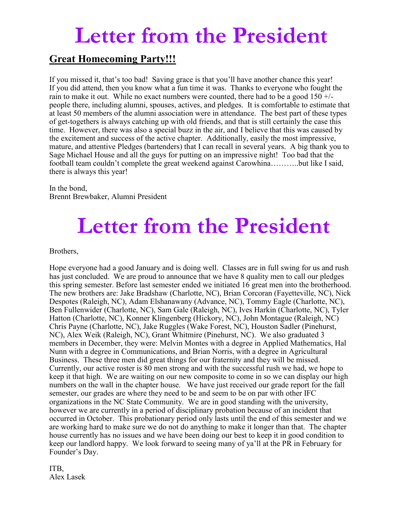## **Letter from the President**

#### **Great Homecoming Party!!!**

If you missed it, that's too bad! Saving grace is that you'll have another chance this year! If you did attend, then you know what a fun time it was. Thanks to everyone who fought the rain to make it out. While no exact numbers were counted, there had to be a good 150 +/ people there, including alumni, spouses, actives, and pledges. It is comfortable to estimate that at least 50 members of the alumni association were in attendance. The best part of these types of get-togethers is always catching up with old friends, and that is still certainly the case this time. However, there was also a special buzz in the air, and I believe that this was caused by the excitement and success of the active chapter. Additionally, easily the most impressive, mature, and attentive Pledges (bartenders) that I can recall in several years. A big thank you to Sage Michael House and all the guys for putting on an impressive night! Too bad that the football team couldn't complete the great weekend against Carowhina………..but like I said, there is always this year!

In the bond, Brennt Brewbaker, Alumni President

# **Letter from the President**

Brothers,

Hope everyone had a good January and is doing well. Classes are in full swing for us and rush has just concluded. We are proud to announce that we have 8 quality men to call our pledges this spring semester. Before last semester ended we initiated 16 great men into the brotherhood. The new brothers are: Jake Bradshaw (Charlotte, NC), Brian Corcoran (Fayetteville, NC), Nick Despotes (Raleigh, NC), Adam Elshanawany (Advance, NC), Tommy Eagle (Charlotte, NC), Ben Fullenwider (Charlotte, NC), Sam Gale (Raleigh, NC), Ives Harkin (Charlotte, NC), Tyler Hatton (Charlotte, NC), Konner Klingenberg (Hickory, NC), John Montague (Raleigh, NC) Chris Payne (Charlotte, NC), Jake Ruggles (Wake Forest, NC), Houston Sadler (Pinehurst, NC), Alex Weik (Raleigh, NC), Grant Whitmire (Pinehurst, NC). We also graduated 3 members in December, they were: Melvin Montes with a degree in Applied Mathematics, Hal Nunn with a degree in Communications, and Brian Norris, with a degree in Agricultural Business. These three men did great things for our fraternity and they will be missed. Currently, our active roster is 80 men strong and with the successful rush we had, we hope to keep it that high. We are waiting on our new composite to come in so we can display our high numbers on the wall in the chapter house. We have just received our grade report for the fall semester, our grades are where they need to be and seem to be on par with other IFC organizations in the NC State Community. We are in good standing with the university, however we are currently in a period of disciplinary probation because of an incident that occurred in October. This probationary period only lasts until the end of this semester and we are working hard to make sure we do not do anything to make it longer than that. The chapter house currently has no issues and we have been doing our best to keep it in good condition to keep our landlord happy. We look forward to seeing many of ya'll at the PR in February for Founder's Day.

ITB, Alex Lasek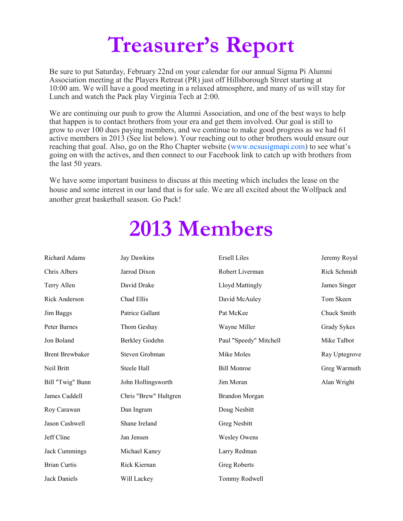# **Treasurer's Report**

Be sure to put Saturday, February 22nd on your calendar for our annual Sigma Pi Alumni Association meeting at the Players Retreat (PR) just off Hillsborough Street starting at 10:00 am. We will have a good meeting in a relaxed atmosphere, and many of us will stay for Lunch and watch the Pack play Virginia Tech at 2:00.

We are continuing our push to grow the Alumni Association, and one of the best ways to help that happen is to contact brothers from your era and get them involved. Our goal is still to grow to over 100 dues paying members, and we continue to make good progress as we had 61 active members in 2013 (See list below). Your reaching out to other brothers would ensure our reaching that goal. Also, go on the Rho Chapter website (www.ncsusigmapi.com) to see what's going on with the actives, and then connect to our Facebook link to catch up with brothers from the last 50 years.

We have some important business to discuss at this meeting which includes the lease on the house and some interest in our land that is for sale. We are all excited about the Wolfpack and another great basketball season. Go Pack!

## **2013 Members**

| Richard Adams          | Jay Dawkins           | <b>Ersell Liles</b>    | Jeremy Royal  |
|------------------------|-----------------------|------------------------|---------------|
| Chris Albers           | Jarrod Dixon          | Robert Liverman        | Rick Schmidt  |
| Terry Allen            | David Drake           | Lloyd Mattingly        | James Singer  |
| Rick Anderson          | Chad Ellis            | David McAuley          | Tom Skeen     |
| Jim Baggs              | Patrice Gallant       | Pat McKee              | Chuck Smith   |
| Peter Barnes           | Thom Geshay           | Wayne Miller           | Grady Sykes   |
| Jon Boland             | Berkley Godehn        | Paul "Speedy" Mitchell | Mike Talbot   |
| <b>Brent Brewbaker</b> | Steven Grobman        | Mike Moles             | Ray Uptegrove |
| Neil Britt             | Steele Hall           | <b>Bill Monroe</b>     | Greg Warmuth  |
| Bill "Twig" Bunn       | John Hollingsworth    | Jim Moran              | Alan Wright   |
| James Caddell          | Chris "Brew" Hultgren | Brandon Morgan         |               |
| Roy Carawan            | Dan Ingram            | Doug Nesbitt           |               |
| Jason Cashwell         | Shane Ireland         | Greg Nesbitt           |               |
| Jeff Cline             | Jan Jensen            | <b>Wesley Owens</b>    |               |
| <b>Jack Cummings</b>   | Michael Kaney         | Larry Redman           |               |
| <b>Brian Curtis</b>    | Rick Kiernan          | Greg Roberts           |               |
| <b>Jack Daniels</b>    | Will Lackey           | Tommy Rodwell          |               |